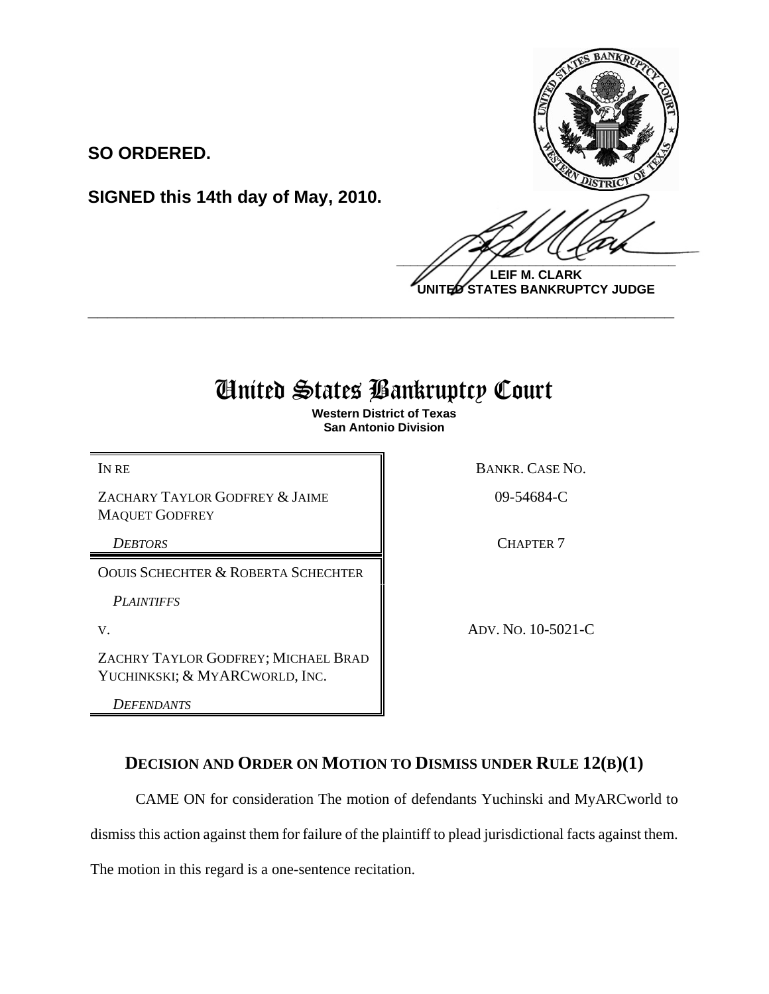

**LEIF M. CLARK UNITED STATES BANKRUPTCY JUDGE**

## United States Bankruptcy Court

**\_\_\_\_\_\_\_\_\_\_\_\_\_\_\_\_\_\_\_\_\_\_\_\_\_\_\_\_\_\_\_\_\_\_\_\_\_\_\_\_\_\_\_\_\_\_\_\_\_\_\_\_\_\_\_\_\_\_\_\_**

**Western District of Texas San Antonio Division**

ZACHARY TAYLOR GODFREY & JAIME MAQUET GODFREY

**SO ORDERED.**

OOUIS SCHECHTER & ROBERTA SCHECHTER

**SIGNED this 14th day of May, 2010.**

*PLAINTIFFS*

ZACHRY TAYLOR GODFREY; MICHAEL BRAD YUCHINKSKI; & MYARCWORLD, INC.

*DEFENDANTS*

IN RE BANKR. CASE NO.

09-54684-C

**DEBTORS** CHAPTER 7

V. ADV. NO. 10-5021-C

## **DECISION AND ORDER ON MOTION TO DISMISS UNDER RULE 12(B)(1)**

CAME ON for consideration The motion of defendants Yuchinski and MyARCworld to

dismiss this action against them for failure of the plaintiff to plead jurisdictional facts against them.

The motion in this regard is a one-sentence recitation.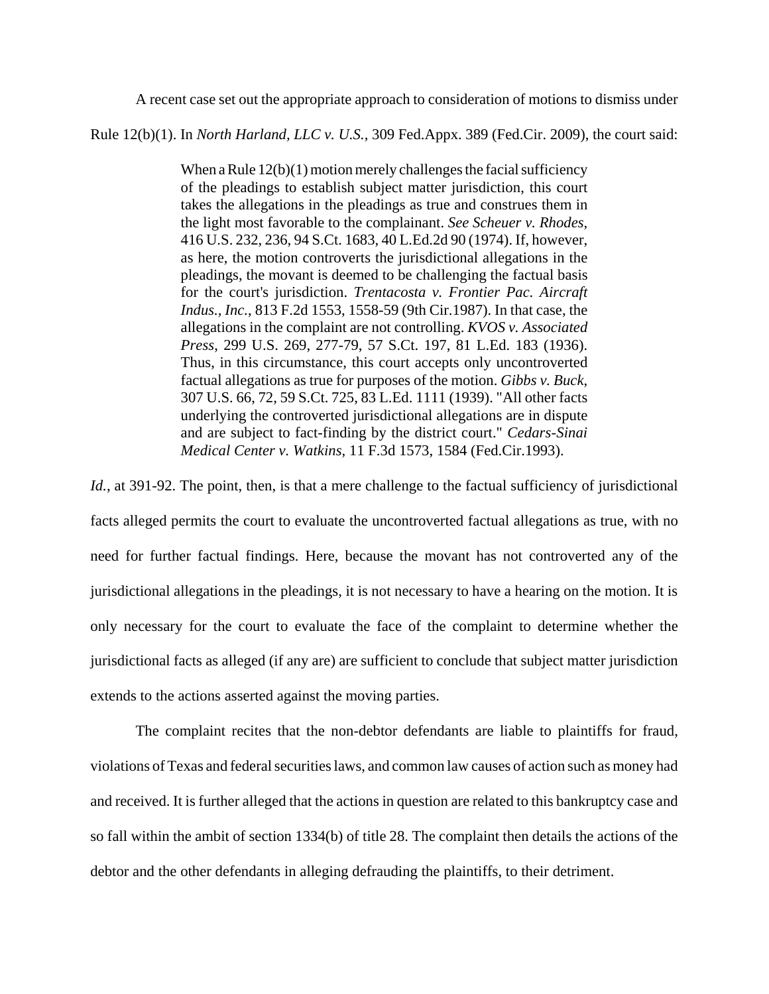A recent case set out the appropriate approach to consideration of motions to dismiss under

Rule 12(b)(1). In *North Harland, LLC v. U.S.*, 309 Fed.Appx. 389 (Fed.Cir. 2009), the court said:

When a Rule 12(b)(1) motion merely challenges the facial sufficiency of the pleadings to establish subject matter jurisdiction, this court takes the allegations in the pleadings as true and construes them in the light most favorable to the complainant. *See Scheuer v. Rhodes*, 416 U.S. 232, 236, 94 S.Ct. 1683, 40 L.Ed.2d 90 (1974). If, however, as here, the motion controverts the jurisdictional allegations in the pleadings, the movant is deemed to be challenging the factual basis for the court's jurisdiction. *Trentacosta v. Frontier Pac. Aircraft Indus., Inc.*, 813 F.2d 1553, 1558-59 (9th Cir.1987). In that case, the allegations in the complaint are not controlling. *KVOS v. Associated Press*, 299 U.S. 269, 277-79, 57 S.Ct. 197, 81 L.Ed. 183 (1936). Thus, in this circumstance, this court accepts only uncontroverted factual allegations as true for purposes of the motion. *Gibbs v. Buck*, 307 U.S. 66, 72, 59 S.Ct. 725, 83 L.Ed. 1111 (1939). "All other facts underlying the controverted jurisdictional allegations are in dispute and are subject to fact-finding by the district court." *Cedars-Sinai Medical Center v. Watkins*, 11 F.3d 1573, 1584 (Fed.Cir.1993).

*Id.*, at 391-92. The point, then, is that a mere challenge to the factual sufficiency of jurisdictional facts alleged permits the court to evaluate the uncontroverted factual allegations as true, with no need for further factual findings. Here, because the movant has not controverted any of the jurisdictional allegations in the pleadings, it is not necessary to have a hearing on the motion. It is only necessary for the court to evaluate the face of the complaint to determine whether the jurisdictional facts as alleged (if any are) are sufficient to conclude that subject matter jurisdiction extends to the actions asserted against the moving parties.

The complaint recites that the non-debtor defendants are liable to plaintiffs for fraud, violations of Texas and federal securities laws, and common law causes of action such as money had and received. It is further alleged that the actions in question are related to this bankruptcy case and so fall within the ambit of section 1334(b) of title 28. The complaint then details the actions of the debtor and the other defendants in alleging defrauding the plaintiffs, to their detriment.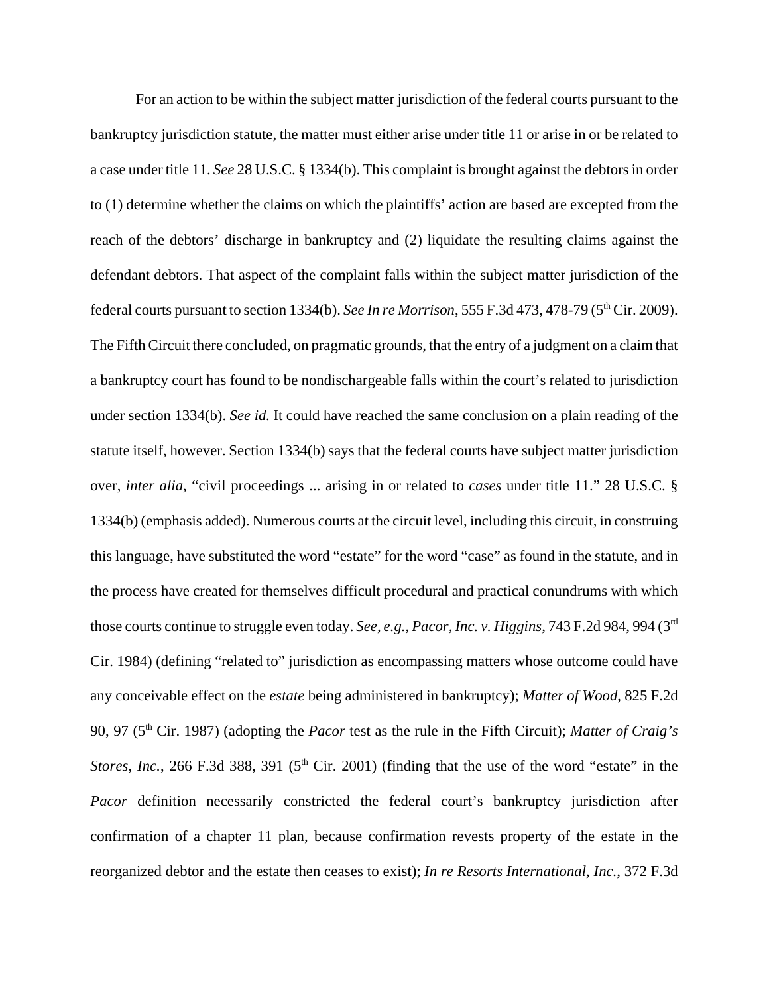For an action to be within the subject matter jurisdiction of the federal courts pursuant to the bankruptcy jurisdiction statute, the matter must either arise under title 11 or arise in or be related to a case under title 11. *See* 28 U.S.C. § 1334(b). This complaint is brought against the debtors in order to (1) determine whether the claims on which the plaintiffs' action are based are excepted from the reach of the debtors' discharge in bankruptcy and (2) liquidate the resulting claims against the defendant debtors. That aspect of the complaint falls within the subject matter jurisdiction of the federal courts pursuant to section 1334(b). *See In re Morrison*, 555 F.3d 473, 478-79 (5<sup>th</sup> Cir. 2009). The Fifth Circuit there concluded, on pragmatic grounds, that the entry of a judgment on a claim that a bankruptcy court has found to be nondischargeable falls within the court's related to jurisdiction under section 1334(b). *See id.* It could have reached the same conclusion on a plain reading of the statute itself, however. Section 1334(b) says that the federal courts have subject matter jurisdiction over, *inter alia*, "civil proceedings ... arising in or related to *cases* under title 11." 28 U.S.C. § 1334(b) (emphasis added). Numerous courts at the circuit level, including this circuit, in construing this language, have substituted the word "estate" for the word "case" as found in the statute, and in the process have created for themselves difficult procedural and practical conundrums with which those courts continue to struggle even today. *See, e.g.*, *Pacor, Inc. v. Higgins*, 743 F.2d 984, 994 (3rd Cir. 1984) (defining "related to" jurisdiction as encompassing matters whose outcome could have any conceivable effect on the *estate* being administered in bankruptcy); *Matter of Wood*, 825 F.2d 90, 97 (5th Cir. 1987) (adopting the *Pacor* test as the rule in the Fifth Circuit); *Matter of Craig's Stores, Inc.*, 266 F.3d 388, 391 ( $5<sup>th</sup>$  Cir. 2001) (finding that the use of the word "estate" in the *Pacor* definition necessarily constricted the federal court's bankruptcy jurisdiction after confirmation of a chapter 11 plan, because confirmation revests property of the estate in the reorganized debtor and the estate then ceases to exist); *In re Resorts International, Inc.*, 372 F.3d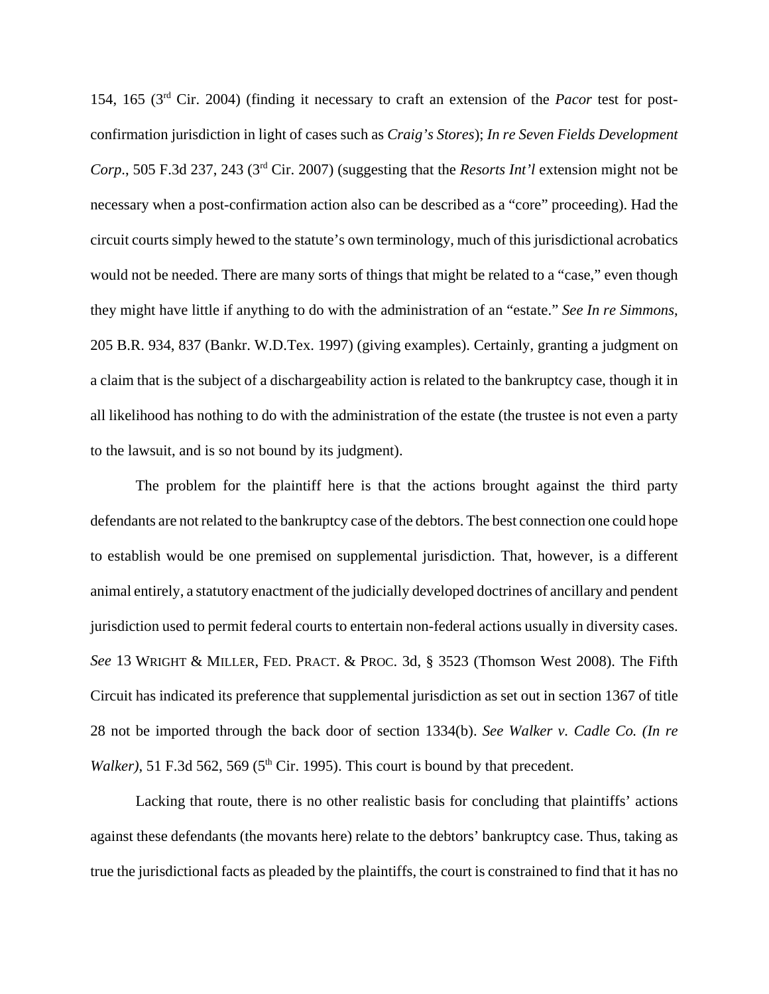154, 165 (3rd Cir. 2004) (finding it necessary to craft an extension of the *Pacor* test for postconfirmation jurisdiction in light of cases such as *Craig's Stores*); *In re Seven Fields Development Corp*., 505 F.3d 237, 243 (3rd Cir. 2007) (suggesting that the *Resorts Int'l* extension might not be necessary when a post-confirmation action also can be described as a "core" proceeding). Had the circuit courts simply hewed to the statute's own terminology, much of this jurisdictional acrobatics would not be needed. There are many sorts of things that might be related to a "case," even though they might have little if anything to do with the administration of an "estate." *See In re Simmons*, 205 B.R. 934, 837 (Bankr. W.D.Tex. 1997) (giving examples). Certainly, granting a judgment on a claim that is the subject of a dischargeability action is related to the bankruptcy case, though it in all likelihood has nothing to do with the administration of the estate (the trustee is not even a party to the lawsuit, and is so not bound by its judgment).

The problem for the plaintiff here is that the actions brought against the third party defendants are not related to the bankruptcy case of the debtors. The best connection one could hope to establish would be one premised on supplemental jurisdiction. That, however, is a different animal entirely, a statutory enactment of the judicially developed doctrines of ancillary and pendent jurisdiction used to permit federal courts to entertain non-federal actions usually in diversity cases. *See* 13 WRIGHT & MILLER, FED. PRACT. & PROC. 3d, § 3523 (Thomson West 2008). The Fifth Circuit has indicated its preference that supplemental jurisdiction as set out in section 1367 of title 28 not be imported through the back door of section 1334(b). *See Walker v. Cadle Co. (In re Walker*), 51 F.3d 562, 569 ( $5<sup>th</sup>$  Cir. 1995). This court is bound by that precedent.

Lacking that route, there is no other realistic basis for concluding that plaintiffs' actions against these defendants (the movants here) relate to the debtors' bankruptcy case. Thus, taking as true the jurisdictional facts as pleaded by the plaintiffs, the court is constrained to find that it has no